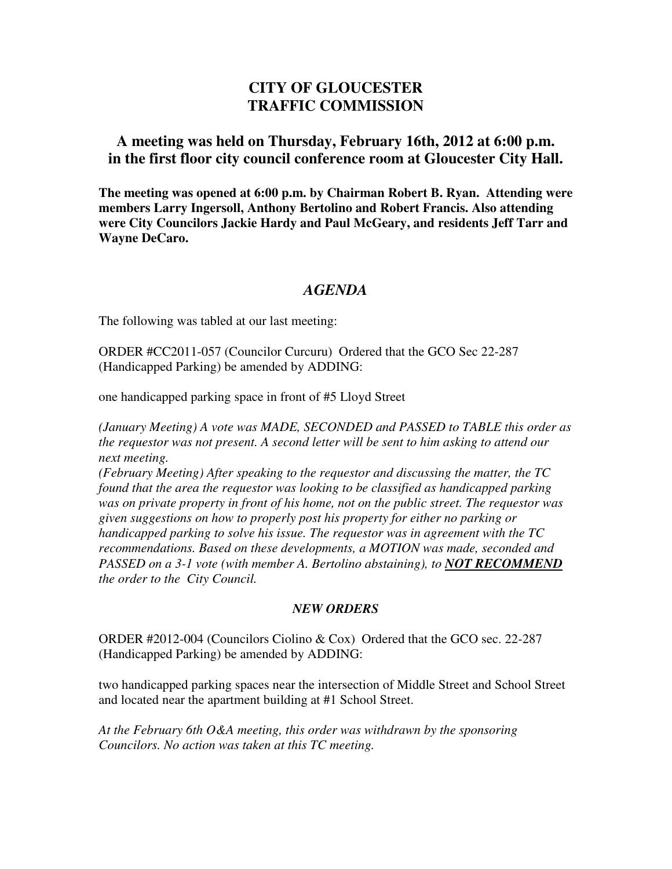## **CITY OF GLOUCESTER TRAFFIC COMMISSION**

## **A meeting was held on Thursday, February 16th, 2012 at 6:00 p.m. in the first floor city council conference room at Gloucester City Hall.**

**The meeting was opened at 6:00 p.m. by Chairman Robert B. Ryan. Attending were members Larry Ingersoll, Anthony Bertolino and Robert Francis. Also attending were City Councilors Jackie Hardy and Paul McGeary, and residents Jeff Tarr and Wayne DeCaro.** 

## *AGENDA*

The following was tabled at our last meeting:

ORDER #CC2011-057 (Councilor Curcuru) Ordered that the GCO Sec 22-287 (Handicapped Parking) be amended by ADDING:

one handicapped parking space in front of #5 Lloyd Street

*(January Meeting) A vote was MADE, SECONDED and PASSED to TABLE this order as the requestor was not present. A second letter will be sent to him asking to attend our next meeting.* 

*(February Meeting) After speaking to the requestor and discussing the matter, the TC found that the area the requestor was looking to be classified as handicapped parking was on private property in front of his home, not on the public street. The requestor was given suggestions on how to properly post his property for either no parking or handicapped parking to solve his issue. The requestor was in agreement with the TC recommendations. Based on these developments, a MOTION was made, seconded and PASSED on a 3-1 vote (with member A. Bertolino abstaining), to <i>NOT RECOMMEND the order to the City Council.* 

## *NEW ORDERS*

ORDER #2012-004 (Councilors Ciolino & Cox) Ordered that the GCO sec. 22-287 (Handicapped Parking) be amended by ADDING:

two handicapped parking spaces near the intersection of Middle Street and School Street and located near the apartment building at #1 School Street.

*At the February 6th O&A meeting, this order was withdrawn by the sponsoring Councilors. No action was taken at this TC meeting.*